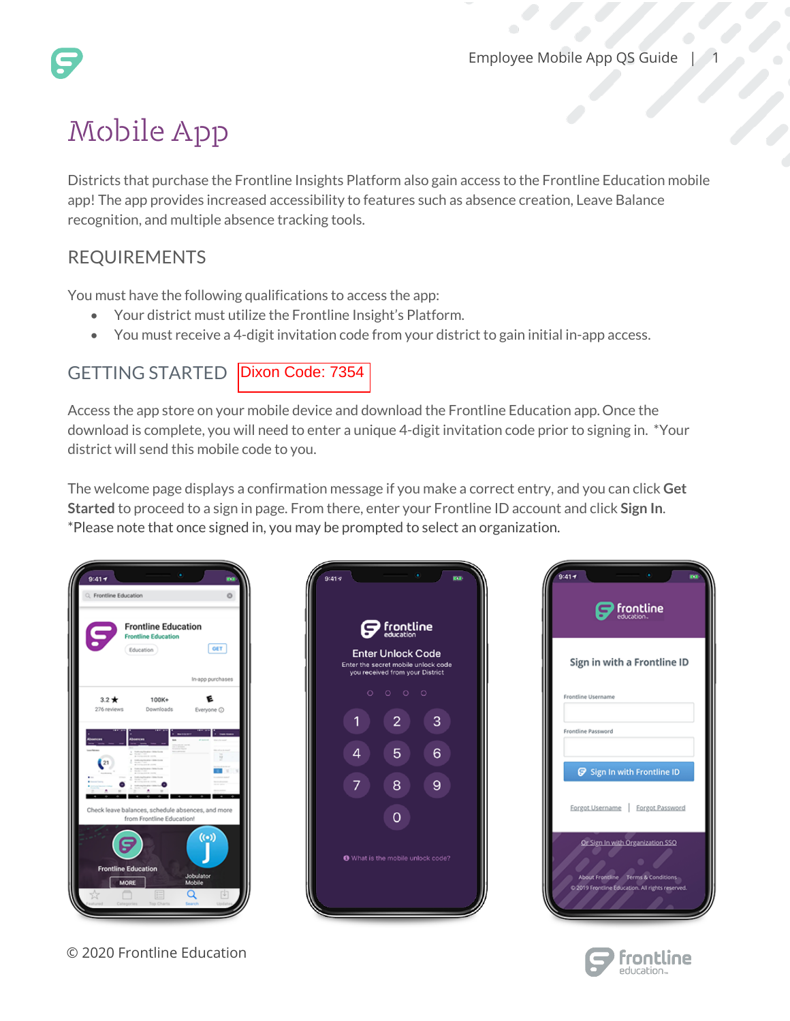# Mobile App

Districts that purchase the Frontline Insights Platform also gain access to the Frontline Education mobile app! The app provides increased accessibility to features such as absence creation, Leave Balance recognition, and multiple absence tracking tools.

## REQUIREMENTS

You must have the following qualifications to access the app:

- Your district must utilize the Frontline Insight's Platform.
- You must receive a 4-digit invitation code from your district to gain initial in-app access.

### GETTING STARTED | Dixon Code: 7354

Access the app store on your mobile device and download the Frontline Education app. Once the download is complete, you will need to enter a unique 4-digit invitation code prior to signing in. \*Your district will send this mobile code to you.

The welcome page displays a confirmation message if you make a correct entry, and you can click **Get Started** to proceed to a sign in page. From there, enter your Frontline ID account and click **Sign In**. \*Please note that once signed in, you may be prompted to select an organization.

| $9:41 -$<br>C. Frontline Education |                                                                       | n.<br>Ō             |
|------------------------------------|-----------------------------------------------------------------------|---------------------|
| S                                  | <b>Frontline Education</b><br><b>Frontline Education</b><br>Education | <b>GET</b>          |
|                                    |                                                                       | In-app purchases    |
| $3.2*$<br>276 reviews              | $100K+$<br>Downloads                                                  | Everyone @          |
| $\overline{21}$                    |                                                                       | ö                   |
|                                    | Check leave balances, schedule absences, and more                     |                     |
|                                    | from Frontline Education!                                             |                     |
| $\boldsymbol{\Theta}$              |                                                                       | $(\odot)$           |
| <b>Frontline Education</b><br>MORE |                                                                       | Jobulator<br>Mobile |
|                                    | Top Charts                                                            |                     |

© 2020 Frontline Education



| 9:417<br>$\mathbfcal{G}$ frontline                                                              |
|-------------------------------------------------------------------------------------------------|
| Sign in with a Frontline ID                                                                     |
| Frontline Username                                                                              |
| Frontline Password                                                                              |
| Sign In with Frontline ID                                                                       |
| Forgot Username   Forgot Password                                                               |
| Or Sign In with Organization SSO                                                                |
| <b>About Frontline Terms &amp; Conditions</b><br>2019 Frontline Education. All rights reserved. |